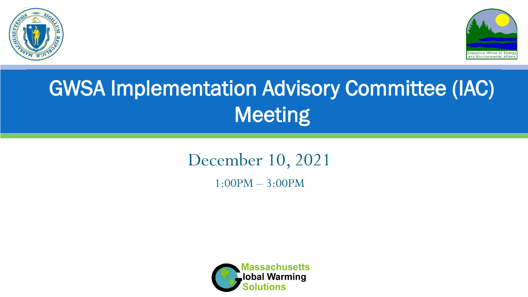



# GWSA Implementation Advisory Committee (IAC) Meeting

December 10, 2021

1:00PM – 3:00PM

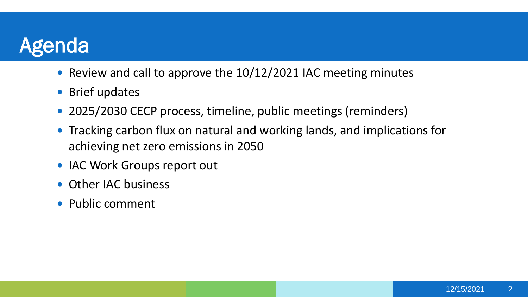### Agenda

- Review and call to approve the 10/12/2021 IAC meeting minutes
- Brief updates
- 2025/2030 CECP process, timeline, public meetings (reminders)
- Tracking carbon flux on natural and working lands, and implications for achieving net zero emissions in 2050
- IAC Work Groups report out
- Other IAC business
- Public comment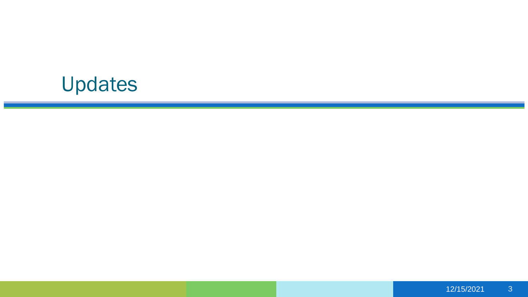# Updates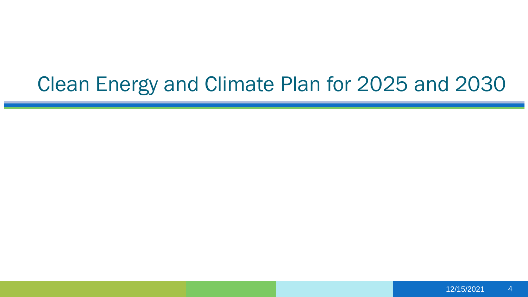# Clean Energy and Climate Plan for 2025 and 2030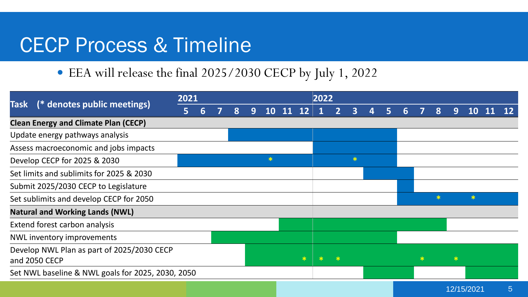### CECP Process & Timeline

EEA will release the final 2025/2030 CECP by July 1, 2022

|                                                             | 2021 |   |  |   |  |    |           |    | 2022 |  |   |  |  |   |   |   |               |  |  |
|-------------------------------------------------------------|------|---|--|---|--|----|-----------|----|------|--|---|--|--|---|---|---|---------------|--|--|
| Task (* denotes public meetings)                            | 5    | 6 |  | 8 |  | 10 | <b>11</b> | 12 |      |  |   |  |  | 6 |   | 8 | 9             |  |  |
| <b>Clean Energy and Climate Plan (CECP)</b>                 |      |   |  |   |  |    |           |    |      |  |   |  |  |   |   |   |               |  |  |
| Update energy pathways analysis                             |      |   |  |   |  |    |           |    |      |  |   |  |  |   |   |   |               |  |  |
| Assess macroeconomic and jobs impacts                       |      |   |  |   |  |    |           |    |      |  |   |  |  |   |   |   |               |  |  |
| Develop CECP for 2025 & 2030                                |      |   |  |   |  | *  |           |    |      |  | 宋 |  |  |   |   |   |               |  |  |
| Set limits and sublimits for 2025 & 2030                    |      |   |  |   |  |    |           |    |      |  |   |  |  |   |   |   |               |  |  |
| Submit 2025/2030 CECP to Legislature                        |      |   |  |   |  |    |           |    |      |  |   |  |  |   |   |   |               |  |  |
| Set sublimits and develop CECP for 2050                     |      |   |  |   |  |    |           |    |      |  |   |  |  |   |   |   |               |  |  |
| <b>Natural and Working Lands (NWL)</b>                      |      |   |  |   |  |    |           |    |      |  |   |  |  |   |   |   |               |  |  |
| Extend forest carbon analysis                               |      |   |  |   |  |    |           |    |      |  |   |  |  |   |   |   |               |  |  |
| NWL inventory improvements                                  |      |   |  |   |  |    |           |    |      |  |   |  |  |   |   |   |               |  |  |
| Develop NWL Plan as part of 2025/2030 CECP<br>and 2050 CECP |      |   |  |   |  |    |           | 米  |      |  |   |  |  |   | 零 |   | $\frac{1}{2}$ |  |  |
| Set NWL baseline & NWL goals for 2025, 2030, 2050           |      |   |  |   |  |    |           |    |      |  |   |  |  |   |   |   |               |  |  |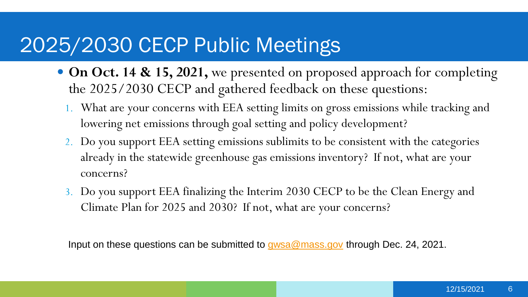### 2025/2030 CECP Public Meetings

- **On Oct. 14 & 15, 2021,** we presented on proposed approach for completing the 2025/2030 CECP and gathered feedback on these questions:
	- 1. What are your concerns with EEA setting limits on gross emissions while tracking and lowering net emissions through goal setting and policy development?
	- 2. Do you support EEA setting emissions sublimits to be consistent with the categories already in the statewide greenhouse gas emissions inventory? If not, what are your concerns?
	- 3. Do you support EEA finalizing the Interim 2030 CECP to be the Clean Energy and Climate Plan for 2025 and 2030? If not, what are your concerns?

Input on these questions can be submitted to **gwsa@mass.gov** through Dec. 24, 2021.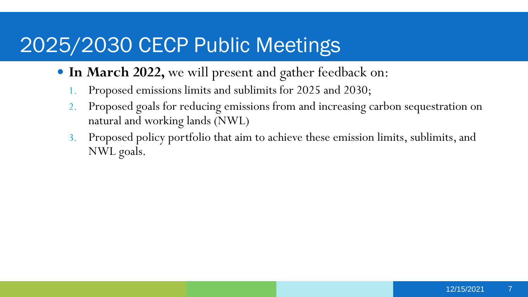### 2025/2030 CECP Public Meetings

- **In March 2022,** we will present and gather feedback on:
	- 1. Proposed emissions limits and sublimits for 2025 and 2030;
	- 2. Proposed goals for reducing emissions from and increasing carbon sequestration on natural and working lands (NWL)
	- 3. Proposed policy portfolio that aim to achieve these emission limits, sublimits, and NWL goals.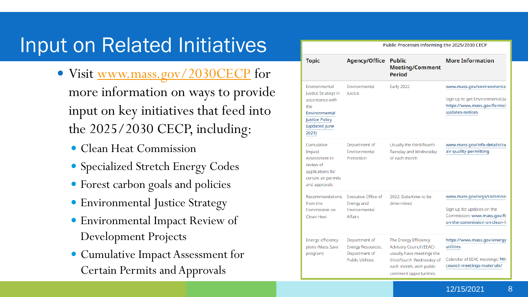# Input on Related Initiatives

- Visit [www.mass.gov/2030CECP](http://www.mass.gov/2030CECP) for more information on ways to provide input on key initiatives that feed into the 2025/2030 CECP, including:
	- Clean Heat Commission
	- Specialized Stretch Energy Codes
	- Forest carbon goals and policies
	- Environmental Justice Strategy
	- Environmental Impact Review of Development Projects
	- Cumulative Impact Assessment for Certain Permits and Approvals

| <b>Topic</b>                                                                                                                       | <b>Agency/Office</b>                                                                  | <b>Public</b><br><b>Meeting/Comment</b><br><b>Period</b>                                                                                                       | <b>More Information</b>                                                                                                 |
|------------------------------------------------------------------------------------------------------------------------------------|---------------------------------------------------------------------------------------|----------------------------------------------------------------------------------------------------------------------------------------------------------------|-------------------------------------------------------------------------------------------------------------------------|
| Environmental<br>Justice Strategy in<br>accordance with<br>the<br>Environmental<br><b>Justice Policy</b><br>(updated June<br>2021) | Environmental<br>lustice                                                              | Early 2022                                                                                                                                                     | www.mass.gov/environmental<br>Sign up to get Environmental Ju<br>https://www.mass.gov/forms/<br>updates-notices         |
| Cumulative<br>Impact<br>Assessment in<br>review of<br>applications for<br>certain air permits<br>and approvals                     | Department of<br>Environmental<br>Protection                                          | Usually the third/fourth<br>Tuesday and Wednesday<br>of each month                                                                                             | www.mass.gov/info-details/cu<br>air-quality-permitting                                                                  |
| <b>Recommendations</b><br>from the<br>Commission on<br>Clean Heat                                                                  | Executive Office of<br>Energy and<br>Environmental<br><b>Affairs</b>                  | 2022: Date/time to be<br>determined                                                                                                                            | www.mass.gov/orgs/commissi<br>Sign up for updates on the<br>Commission: www.mass.gov/fc<br>on-the-commission-on-clean-h |
| <b>Energy efficiency</b><br>plans (Mass Save<br>program)                                                                           | Department of<br><b>Energy Resources,</b><br>Department of<br><b>Public Utilities</b> | The Energy Efficiency<br>Advisory Council (EEAC)<br>usually have meetings the<br>third/fourth Wednesday of<br>each month, with public<br>comment opportunities | https://www.mass.gov/energy<br>utilities<br>Calendar of EEAC meetings: htt<br>council-meetings-materials/               |

Public Processes informing the 2025/2030 CECP

8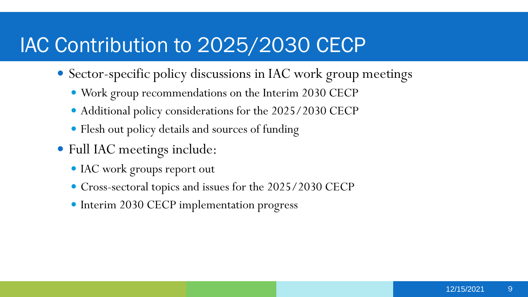#### IAC Contribution to 2025/2030 CECP

- Sector-specific policy discussions in IAC work group meetings
	- Work group recommendations on the Interim 2030 CECP
	- Additional policy considerations for the 2025/2030 CECP
	- Flesh out policy details and sources of funding
- Full IAC meetings include:
	- IAC work groups report out
	- Cross-sectoral topics and issues for the 2025/2030 CECP
	- Interim 2030 CECP implementation progress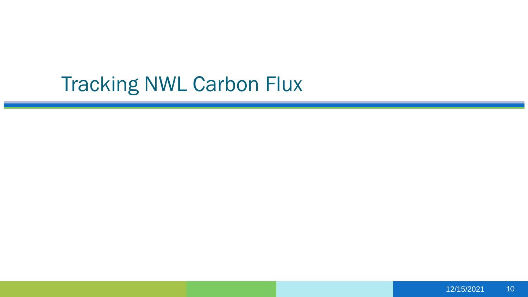# Tracking NWL Carbon Flux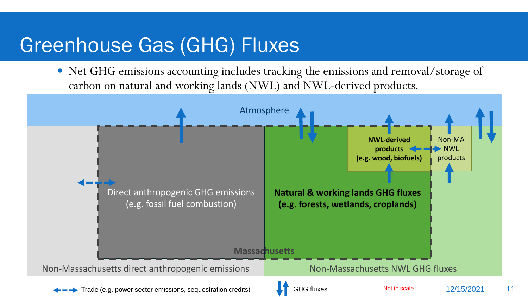# Greenhouse Gas (GHG) Fluxes

 Net GHG emissions accounting includes tracking the emissions and removal/storage of carbon on natural and working lands (NWL) and NWL-derived products.

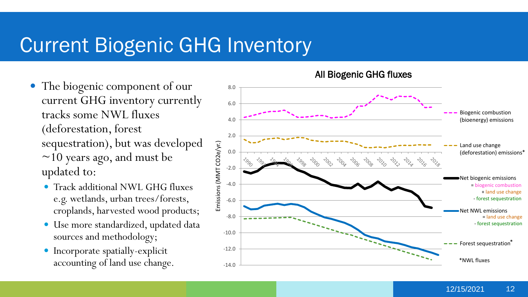#### Current Biogenic GHG Inventory

- The biogenic component of our current GHG inventory currently tracks some NWL fluxes (deforestation, forest sequestration), but was developed  $\sim$ 10 years ago, and must be updated to:
	- Track additional NWL GHG fluxes e.g. wetlands, urban trees/forests, croplands, harvested wood products;
	- Use more standardized, updated data sources and methodology;
	- Incorporate spatially-explicit accounting of land use change.



All Biogenic GHG fluxes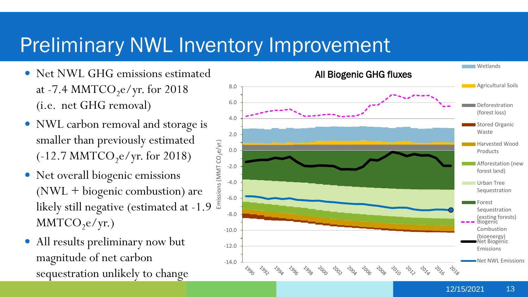### Preliminary NWL Inventory Improvement

- Net NWL GHG emissions estimated at -7.4 MMTCO<sub>2</sub>e/yr. for 2018 (i.e. net GHG removal)
- NWL carbon removal and storage is smaller than previously estimated  $(-12.7 \text{ MMTCO}_2\text{e/yr}$ . for 2018)
- Net overall biogenic emissions (NWL + biogenic combustion) are smaller than previously estimated<br>
(-12.7 MMTCO<sub>2</sub>e/yr. for 2018)<br>
Net overall biogenic emissions<br>
(NWL + biogenic combustion) are<br>
likely still negative (estimated at -1.9  $MMTCO_2$ e/yr.)
- All results preliminary now but magnitude of net carbon sequestration unlikely to change

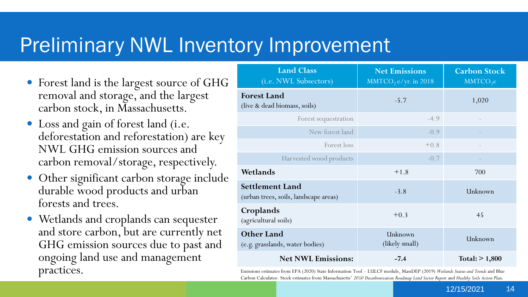# Preliminary NWL Inventory Improvement

- Forest land is the largest source of GHG removal and storage, and the largest carbon stock, in Massachusetts.
- Loss and gain of forest land (i.e. deforestation and reforestation) are key NWL GHG emission sources and carbon removal/storage, respectively.
- Other significant carbon storage include durable wood products and urban forests and trees.
- Wetlands and croplands can sequester and store carbon, but are currently net GHG emission sources due to past and ongoing land use and management practices.

| <b>Land Class</b><br>(i.e. NWL Subsectors)                      | <b>Net Emissions</b><br>MMTCO <sub>2</sub> e/yr. in 2018 | <b>Carbon Stock</b><br>MMTCO <sub>2</sub> e |
|-----------------------------------------------------------------|----------------------------------------------------------|---------------------------------------------|
| <b>Forest Land</b><br>(live & dead biomass, soils)              | $-5.7$                                                   | 1,020                                       |
| Forest sequestration                                            | $-4.9$                                                   |                                             |
| New forest land                                                 | $-0.9$                                                   |                                             |
| Forest loss                                                     | $+0.8$                                                   |                                             |
| Harvested wood products                                         | $-0.7$                                                   |                                             |
| Wetlands                                                        | $+1.8$                                                   | 700                                         |
| <b>Settlement Land</b><br>(urban trees, soils, landscape areas) | $-3.8$                                                   | Unknown                                     |
| Croplands<br>(agricultural soils)                               | $+0.3$                                                   | 45                                          |
| <b>Other Land</b><br>(e.g. grasslands, water bodies)            | Unknown<br>(likely small)                                | Unknown                                     |
| <b>Net NWL Emissions:</b>                                       | $-7.4$                                                   | Total: $> 1,800$                            |

Emissions estimates from EPA (2020) State Information Tool – LULCF module, MassDEP (2019) *Wetlands Status and Trends* and Blue Carbon Calculator. Stock estimates from Massachusetts' *2050 Decarbonization Roadmap Land Sector Report* and *Healthy Soils Action Plan.*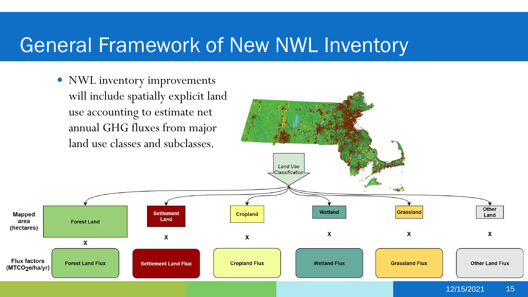#### General Framework of New NWL Inventory

• NWL inventory improvements will include spatially explicit land use accounting to estimate net annual GHG fluxes from major land use classes and subclasses.

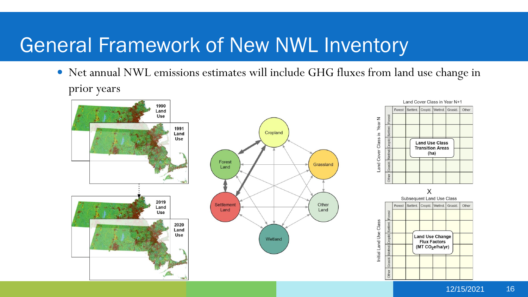### General Framework of New NWL Inventory

 Net annual NWL emissions estimates will include GHG fluxes from land use change in prior years

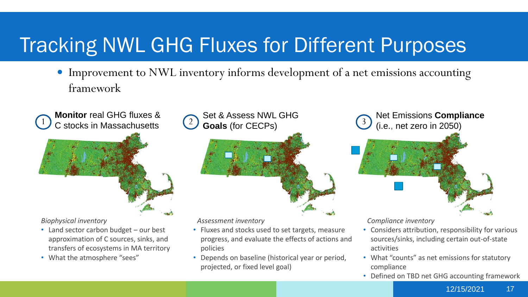# Tracking NWL GHG Fluxes for Different Purposes

Set & Assess NWL GHG

**Goals** (for CECPs)

 Improvement to NWL inventory informs development of a net emissions accounting framework

**Monitor** real GHG fluxes &  $\frac{1}{2}$  C stocks in Massachusetts  $\frac{2}{2}$  Goals (for CECPs)  $\frac{3}{2}$  (i.e., net zero in 2050)

![](_page_16_Picture_3.jpeg)

*Biophysical inventory*

- Land sector carbon budget our best approximation of C sources, sinks, and transfers of ecosystems in MA territory
- What the atmosphere "sees"

*Assessment inventory*

- Fluxes and stocks used to set targets, measure progress, and evaluate the effects of actions and policies
- Depends on baseline (historical year or period, projected, or fixed level goal)

Net Emissions **Compliance**

*Compliance inventory*

- Considers attribution, responsibility for various sources/sinks, including certain out-of-state activities
- What "counts" as net emissions for statutory compliance
- Defined on TBD net GHG accounting framework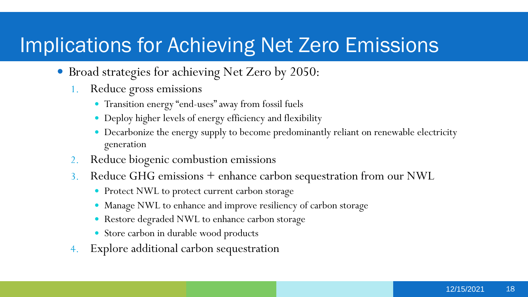### Implications for Achieving Net Zero Emissions

- Broad strategies for achieving Net Zero by 2050:
	- 1. Reduce gross emissions
		- Transition energy "end-uses" away from fossil fuels
		- Deploy higher levels of energy efficiency and flexibility
		- Decarbonize the energy supply to become predominantly reliant on renewable electricity generation
	- 2. Reduce biogenic combustion emissions
	- 3. Reduce GHG emissions + enhance carbon sequestration from our NWL
		- Protect NWL to protect current carbon storage
		- Manage NWL to enhance and improve resiliency of carbon storage
		- Restore degraded NWL to enhance carbon storage
		- Store carbon in durable wood products
	- 4. Explore additional carbon sequestration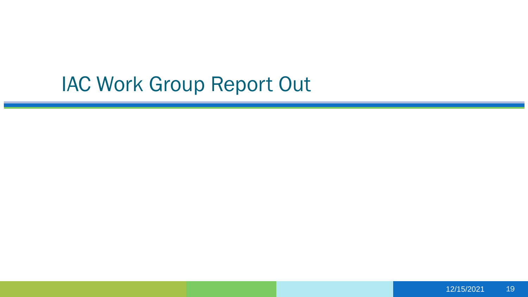# IAC Work Group Report Out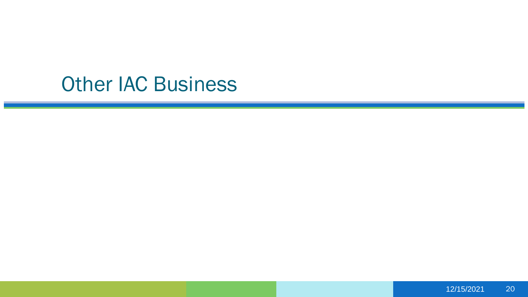#### **Other IAC Business**